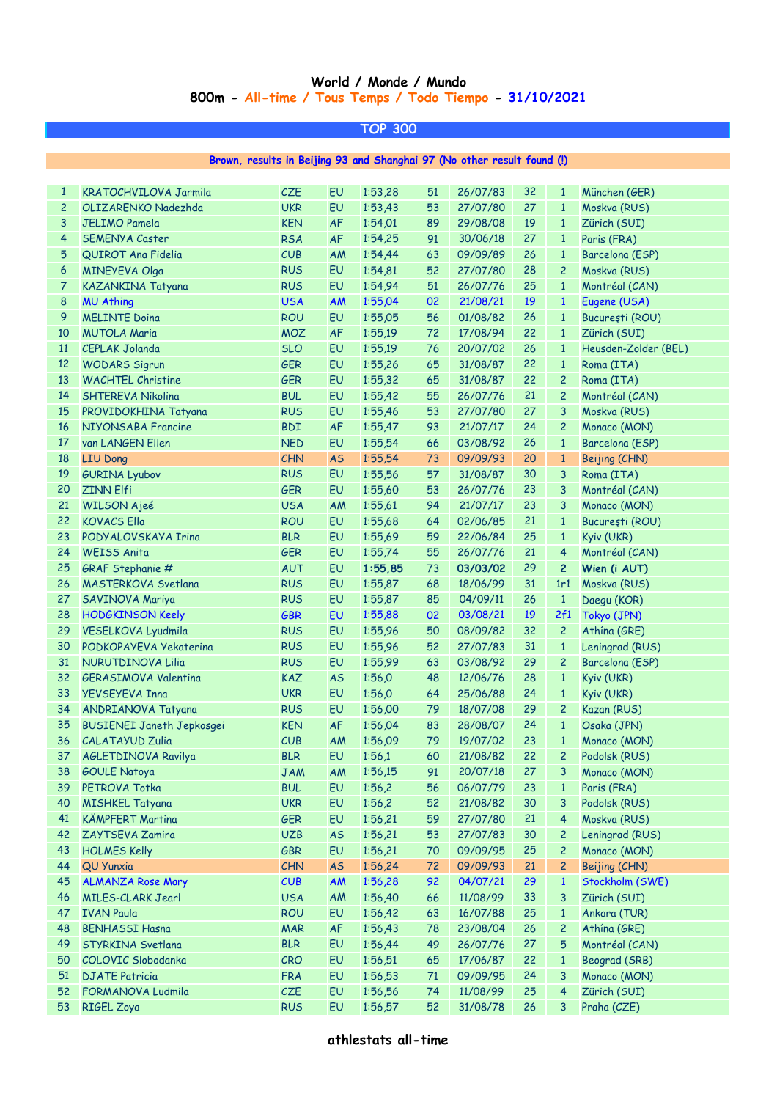## **World / Monde / Mundo 800m - All-time / Tous Temps / Todo Tiempo - 31/10/2021**

| TOP 300                                                                 |                                  |            |           |         |    |          |    |                |                      |  |  |  |
|-------------------------------------------------------------------------|----------------------------------|------------|-----------|---------|----|----------|----|----------------|----------------------|--|--|--|
|                                                                         |                                  |            |           |         |    |          |    |                |                      |  |  |  |
| Brown, results in Beijing 93 and Shanghai 97 (No other result found (!) |                                  |            |           |         |    |          |    |                |                      |  |  |  |
|                                                                         |                                  |            |           |         |    |          |    |                |                      |  |  |  |
| $\mathbf{1}$                                                            | KRATOCHVILOVA Jarmila            | <b>CZE</b> | EU        | 1:53,28 | 51 | 26/07/83 | 32 | $\mathbf{1}$   | München (GER)        |  |  |  |
| $\overline{c}$                                                          | OLIZARENKO Nadezhda              | <b>UKR</b> | EU        | 1:53,43 | 53 | 27/07/80 | 27 | $\mathbf{1}$   | Moskva (RUS)         |  |  |  |
| 3                                                                       | <b>JELIMO Pamela</b>             | <b>KEN</b> | <b>AF</b> | 1:54,01 | 89 | 29/08/08 | 19 | $\mathbf{1}$   | Zürich (SUI)         |  |  |  |
| 4                                                                       | <b>SEMENYA Caster</b>            | <b>RSA</b> | <b>AF</b> | 1:54,25 | 91 | 30/06/18 | 27 | $\mathbf{1}$   | Paris (FRA)          |  |  |  |
| 5                                                                       | QUIROT Ana Fidelia               | CUB        | AM        | 1:54,44 | 63 | 09/09/89 | 26 | $\mathbf{1}$   | Barcelona (ESP)      |  |  |  |
| 6                                                                       | <b>MINEYEVA Olga</b>             | <b>RUS</b> | <b>EU</b> | 1:54,81 | 52 | 27/07/80 | 28 | $\overline{c}$ | Moskva (RUS)         |  |  |  |
| 7                                                                       | KAZANKINA Tatyana                | <b>RUS</b> | EU        | 1:54,94 | 51 | 26/07/76 | 25 | $\mathbf{1}$   | Montréal (CAN)       |  |  |  |
| 8                                                                       | <b>MU Athing</b>                 | <b>USA</b> | <b>AM</b> | 1:55,04 | 02 | 21/08/21 | 19 | $\mathbf{1}$   | Eugene (USA)         |  |  |  |
| 9                                                                       | <b>MELINTE Doina</b>             | <b>ROU</b> | EU        | 1:55,05 | 56 | 01/08/82 | 26 | $\mathbf{1}$   | București (ROU)      |  |  |  |
| 10                                                                      | <b>MUTOLA Maria</b>              | <b>MOZ</b> | <b>AF</b> | 1:55,19 | 72 | 17/08/94 | 22 | $\mathbf{1}$   | Zürich (SUI)         |  |  |  |
| <sup>11</sup>                                                           | <b>CEPLAK Jolanda</b>            | <b>SLO</b> | EU        | 1:55,19 | 76 | 20/07/02 | 26 | $\mathbf{1}$   | Heusden-Zolder (BEL) |  |  |  |
| 12                                                                      | <b>WODARS Sigrun</b>             | <b>GER</b> | EU        | 1:55,26 | 65 | 31/08/87 | 22 | $\mathbf{1}$   | Roma (ITA)           |  |  |  |
| 13                                                                      | <b>WACHTEL Christine</b>         | <b>GER</b> | EU        | 1:55,32 | 65 | 31/08/87 | 22 | $\overline{c}$ | Roma (ITA)           |  |  |  |
| 14                                                                      | SHTEREVA Nikolina                | <b>BUL</b> | EU        | 1:55,42 | 55 | 26/07/76 | 21 | $\overline{c}$ | Montréal (CAN)       |  |  |  |
| <b>15</b>                                                               | PROVIDOKHINA Tatyana             | <b>RUS</b> | EU        | 1:55,46 | 53 | 27/07/80 | 27 | 3              | Moskva (RUS)         |  |  |  |
| 16                                                                      | NIYONSABA Francine               | <b>BDI</b> | <b>AF</b> | 1:55,47 | 93 | 21/07/17 | 24 | $\overline{c}$ | Monaco (MON)         |  |  |  |
| 17                                                                      | van LANGEN Ellen                 | <b>NED</b> | EU        | 1:55,54 | 66 | 03/08/92 | 26 | $\mathbf{1}$   | Barcelona (ESP)      |  |  |  |
| 18                                                                      | <b>LIU Dong</b>                  | CHN        | <b>AS</b> | 1:55,54 | 73 | 09/09/93 | 20 | $\mathbf{1}$   | Beijing (CHN)        |  |  |  |
| 19                                                                      | <b>GURINA Lyubov</b>             | <b>RUS</b> | EU        | 1:55,56 | 57 | 31/08/87 | 30 | 3              | Roma (ITA)           |  |  |  |
| 20                                                                      | <b>ZINN Elfi</b>                 | <b>GER</b> | <b>EU</b> | 1:55,60 | 53 | 26/07/76 | 23 | 3              | Montréal (CAN)       |  |  |  |
| 21                                                                      | <b>WILSON Ajeé</b>               | <b>USA</b> | AM        | 1:55,61 | 94 | 21/07/17 | 23 | 3              | Monaco (MON)         |  |  |  |
| 22                                                                      | <b>KOVACS Ella</b>               | <b>ROU</b> | EU        | 1:55,68 | 64 | 02/06/85 | 21 | $\mathbf{1}$   | București (ROU)      |  |  |  |
| 23                                                                      | PODYALOVSKAYA Irina              | <b>BLR</b> | EU        | 1:55,69 | 59 | 22/06/84 | 25 | $\mathbf{1}$   | Kyiv (UKR)           |  |  |  |
| 24                                                                      | <b>WEISS Anita</b>               | <b>GER</b> | EU        | 1:55,74 | 55 | 26/07/76 | 21 | $\overline{4}$ | Montréal (CAN)       |  |  |  |
| 25                                                                      | GRAF Stephanie #                 | <b>AUT</b> | EU        | 1:55,85 | 73 | 03/03/02 | 29 | $\mathbf{2}$   | Wien (i AUT)         |  |  |  |
| 26                                                                      | MASTERKOVA Svetlana              | <b>RUS</b> | EU        | 1:55,87 | 68 | 18/06/99 | 31 | 1r1            | Moskva (RUS)         |  |  |  |
| 27                                                                      | SAVINOVA Mariya                  | <b>RUS</b> | EU        | 1:55,87 | 85 | 04/09/11 | 26 | $\mathbf{1}$   | Daegu (KOR)          |  |  |  |
| 28                                                                      | <b>HODGKINSON Keely</b>          | <b>GBR</b> | EU        | 1:55,88 | 02 | 03/08/21 | 19 | 2f1            | Tokyo (JPN)          |  |  |  |
| 29                                                                      | <b>VESELKOVA Lyudmila</b>        | <b>RUS</b> | EU        | 1:55,96 | 50 | 08/09/82 | 32 | $\overline{c}$ | Athina (GRE)         |  |  |  |
| 30                                                                      | PODKOPAYEVA Yekaterina           | <b>RUS</b> | EU        | 1:55,96 | 52 | 27/07/83 | 31 | $\mathbf{1}$   | Leningrad (RUS)      |  |  |  |
| 31                                                                      | <b>NURUTDINOVA Lilia</b>         | <b>RUS</b> | EU        | 1:55,99 | 63 | 03/08/92 | 29 | $\overline{c}$ | Barcelona (ESP)      |  |  |  |
| 32                                                                      | <b>GERASIMOVA Valentina</b>      | <b>KAZ</b> | <b>AS</b> | 1:56,0  | 48 | 12/06/76 | 28 | $\mathbf{1}$   | Kyiv (UKR)           |  |  |  |
| 33                                                                      | <b>YEVSEYEVA Inna</b>            | <b>UKR</b> | EU        | 1:56,0  | 64 | 25/06/88 | 24 | $\mathbf{1}$   | Kyiv (UKR)           |  |  |  |
| 34                                                                      | ANDRIANOVA Tatyana               | <b>RUS</b> | EU        | 1:56,00 | 79 | 18/07/08 | 29 | 2              | Kazan (RUS)          |  |  |  |
| 35                                                                      | <b>BUSIENEI Janeth Jepkosgei</b> | <b>KEN</b> | AF        | 1:56,04 | 83 | 28/08/07 | 24 | $\mathbf{1}$   | Osaka (JPN)          |  |  |  |
| 36                                                                      | <b>CALATAYUD Zulia</b>           | CUB        | <b>AM</b> | 1:56,09 | 79 | 19/07/02 | 23 | $\mathbf{1}$   | Monaco (MON)         |  |  |  |
| 37                                                                      | AGLETDINOVA Ravilya              | <b>BLR</b> | EU        | 1:56,1  | 60 | 21/08/82 | 22 | $\overline{c}$ | Podolsk (RUS)        |  |  |  |
| 38                                                                      | <b>GOULE Natoya</b>              | <b>JAM</b> | <b>AM</b> | 1:56,15 | 91 | 20/07/18 | 27 | 3              | Monaco (MON)         |  |  |  |
| 39                                                                      | PETROVA Totka                    | <b>BUL</b> | EU        | 1:56,2  | 56 | 06/07/79 | 23 | $\mathbf{1}$   | Paris (FRA)          |  |  |  |
| 40                                                                      | <b>MISHKEL Tatyana</b>           | <b>UKR</b> | EU        | 1:56,2  | 52 | 21/08/82 | 30 | 3              | Podolsk (RUS)        |  |  |  |
| 41                                                                      | <b>KÄMPFERT Martina</b>          | <b>GER</b> | EU        | 1:56,21 | 59 | 27/07/80 | 21 | 4              | Moskva (RUS)         |  |  |  |
| 42                                                                      | ZAYTSEVA Zamira                  | <b>UZB</b> | <b>AS</b> | 1:56,21 | 53 | 27/07/83 | 30 | $\overline{c}$ | Leningrad (RUS)      |  |  |  |
| 43                                                                      | <b>HOLMES Kelly</b>              | GBR        | EU        | 1:56,21 | 70 | 09/09/95 | 25 | $\overline{c}$ | Monaco (MON)         |  |  |  |
| 44                                                                      | <b>QU Yunxia</b>                 | CHN        | <b>AS</b> | 1:56,24 | 72 | 09/09/93 | 21 | $\overline{c}$ | Beijing (CHN)        |  |  |  |
| 45                                                                      | <b>ALMANZA Rose Mary</b>         | CUB        |           | 1:56,28 | 92 | 04/07/21 | 29 | $\mathbf{1}$   | Stockholm (SWE)      |  |  |  |
|                                                                         |                                  |            | <b>AM</b> |         |    |          |    |                |                      |  |  |  |
| 46                                                                      | <b>MILES-CLARK Jearl</b>         | <b>USA</b> | <b>AM</b> | 1:56,40 | 66 | 11/08/99 | 33 | 3              | Zürich (SUI)         |  |  |  |
| 47                                                                      | <b>IVAN Paula</b>                | <b>ROU</b> | EU        | 1:56,42 | 63 | 16/07/88 | 25 | $\mathbf{1}$   | Ankara (TUR)         |  |  |  |
| 48                                                                      | <b>BENHASSI Hasna</b>            | <b>MAR</b> | <b>AF</b> | 1:56,43 | 78 | 23/08/04 | 26 | $\overline{c}$ | Athína (GRE)         |  |  |  |
| 49                                                                      | STYRKINA Svetlana                | <b>BLR</b> | EU        | 1:56,44 | 49 | 26/07/76 | 27 | 5              | Montréal (CAN)       |  |  |  |
| 50                                                                      | COLOVIC Slobodanka               | CRO        | EU        | 1:56,51 | 65 | 17/06/87 | 22 | $\mathbf{1}$   | Beograd (SRB)        |  |  |  |
| 51                                                                      | <b>DJATE Patricia</b>            | <b>FRA</b> | EU        | 1:56,53 | 71 | 09/09/95 | 24 | 3              | Monaco (MON)         |  |  |  |
| 52                                                                      | FORMANOVA Ludmila                | CZE        | EU        | 1:56,56 | 74 | 11/08/99 | 25 | $\overline{4}$ | Zürich (SUI)         |  |  |  |
| 53                                                                      | <b>RIGEL Zoya</b>                | <b>RUS</b> | EU        | 1:56,57 | 52 | 31/08/78 | 26 | 3              | Praha (CZE)          |  |  |  |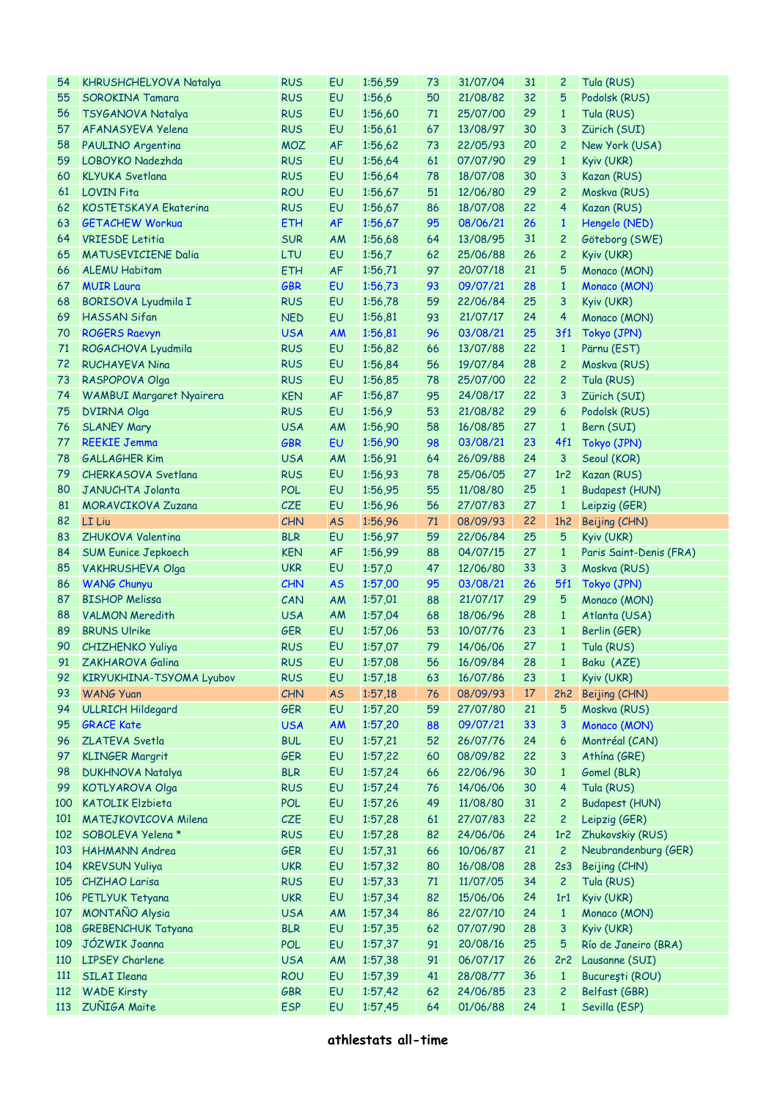| 54  | <b>KHRUSHCHELYOVA Natalya</b>   | <b>RUS</b> | EU        | 1:56,59 | 73 | 31/07/04    | 31 | $\overline{c}$  | Tula (RUS)              |
|-----|---------------------------------|------------|-----------|---------|----|-------------|----|-----------------|-------------------------|
| 55  | SOROKINA Tamara                 | <b>RUS</b> | EU        | 1:56,6  | 50 | 21/08/82    | 32 | 5               | Podolsk (RUS)           |
| 56  | TSYGANOVA Natalya               | <b>RUS</b> | EU        | 1:56,60 | 71 | 25/07/00    | 29 | $\mathbf{1}$    | Tula (RUS)              |
| 57  | AFANASYEVA Yelena               | <b>RUS</b> | EU        | 1:56,61 | 67 | 13/08/97    | 30 | 3               | Zürich (SUI)            |
| 58  | PAULINO Argentina               | <b>MOZ</b> | AF        | 1:56,62 | 73 | 22/05/93    | 20 | $\overline{c}$  | New York (USA)          |
| 59  | LOBOYKO Nadezhda                | <b>RUS</b> | EU        | 1:56,64 | 61 | 07/07/90    | 29 | $\mathbf{1}$    | Kyiv (UKR)              |
| 60  | <b>KLYUKA Svetlana</b>          | <b>RUS</b> | EU        | 1:56,64 | 78 | 18/07/08    | 30 | 3               | Kazan (RUS)             |
| 61  | <b>LOVIN Fita</b>               | <b>ROU</b> | EU        | 1:56,67 | 51 | 12/06/80    | 29 | $\mathbf{2}$    | Moskva (RUS)            |
| 62  | <b>KOSTETSKAYA Ekaterina</b>    | <b>RUS</b> | EU        | 1:56,67 | 86 | 18/07/08    | 22 | $\overline{4}$  | Kazan (RUS)             |
| 63  | <b>GETACHEW Workua</b>          | <b>ETH</b> | <b>AF</b> | 1:56,67 | 95 | 08/06/21    | 26 | $\mathbf{1}$    | Hengelo (NED)           |
| 64  | <b>VRIESDE</b> Letitia          | <b>SUR</b> | AM        | 1:56,68 | 64 | 13/08/95    | 31 | $\overline{c}$  | Göteborg (SWE)          |
| 65  | <b>MATUSEVICIENE Dalia</b>      | LTU        | EU        | 1:56,7  | 62 | 25/06/88    | 26 | $\overline{c}$  | Kyiv (UKR)              |
| 66  | <b>ALEMU Habitam</b>            | <b>ETH</b> | <b>AF</b> | 1:56,71 | 97 | 20/07/18    | 21 | 5               | Monaco (MON)            |
| 67  | <b>MUIR Laura</b>               | <b>GBR</b> | EU        | 1:56,73 | 93 | 09/07/21    | 28 | $\mathbf{1}$    | Monaco (MON)            |
|     |                                 | <b>RUS</b> | EU        |         | 59 | 22/06/84    | 25 | 3               |                         |
| 68  | BORISOVA Lyudmila I             |            |           | 1:56,78 |    |             |    |                 | Kyiv (UKR)              |
| 69  | <b>HASSAN Sifan</b>             | <b>NED</b> | EU        | 1:56,81 | 93 | 21/07/17    | 24 | $\overline{4}$  | Monaco (MON)            |
| 70  | <b>ROGERS Raevyn</b>            | <b>USA</b> | <b>AM</b> | 1:56,81 | 96 | 03/08/21    | 25 | 3f1             | Tokyo (JPN)             |
| 71  | ROGACHOVA Lyudmila              | <b>RUS</b> | EU        | 1:56,82 | 66 | 13/07/88    | 22 | $\mathbf{1}$    | Pärnu (EST)             |
| 72  | <b>RUCHAYEVA Nina</b>           | <b>RUS</b> | EU        | 1:56,84 | 56 | 19/07/84    | 28 | $\overline{c}$  | Moskva (RUS)            |
| 73  | RASPOPOVA Olga                  | <b>RUS</b> | EU        | 1:56,85 | 78 | 25/07/00    | 22 | $\overline{c}$  | Tula (RUS)              |
| 74  | <b>WAMBUI Margaret Nyairera</b> | <b>KEN</b> | <b>AF</b> | 1:56,87 | 95 | 24/08/17    | 22 | 3               | Zürich (SUI)            |
| 75  | <b>DVIRNA Olga</b>              | <b>RUS</b> | EU        | 1:56,9  | 53 | 21/08/82    | 29 | 6               | Podolsk (RUS)           |
| 76  | <b>SLANEY Mary</b>              | <b>USA</b> | AM        | 1:56,90 | 58 | 16/08/85    | 27 | $\mathbf{1}$    | Bern (SUI)              |
| 77  | <b>REEKIE Jemma</b>             | <b>GBR</b> | EU        | 1:56,90 | 98 | 03/08/21    | 23 | 4f1             | Tokyo (JPN)             |
| 78  | <b>GALLAGHER Kim</b>            | <b>USA</b> | AM        | 1:56,91 | 64 | 26/09/88    | 24 | 3               | Seoul (KOR)             |
| 79  | CHERKASOVA Svetlana             | <b>RUS</b> | EU        | 1:56,93 | 78 | 25/06/05    | 27 | 1r <sub>2</sub> | Kazan (RUS)             |
| 80  | <b>JANUCHTA Jolanta</b>         | <b>POL</b> | EU        | 1:56,95 | 55 | 11/08/80    | 25 | $\mathbf{1}$    | <b>Budapest (HUN)</b>   |
| 81  | <b>MORAVCIKOVA Zuzana</b>       | CZE        | EU        | 1:56,96 | 56 | 27/07/83    | 27 | $\mathbf{1}$    | Leipzig (GER)           |
| 82  | LI Liu                          | <b>CHN</b> | <b>AS</b> | 1:56,96 | 71 | 08/09/93    | 22 | 1h2             | Beijing (CHN)           |
| 83  | ZHUKOVA Valentina               | <b>BLR</b> | EU        | 1:56,97 | 59 | 22/06/84    | 25 | 5               | Kyiv (UKR)              |
| 84  | <b>SUM Eunice Jepkoech</b>      | <b>KEN</b> | <b>AF</b> | 1:56,99 | 88 | 04/07/15    | 27 | $\mathbf{1}$    | Paris Saint-Denis (FRA) |
| 85  | <b>VAKHRUSHEVA Olga</b>         | <b>UKR</b> | EU        | 1:57,0  | 47 | 12/06/80    | 33 | 3               | Moskva (RUS)            |
| 86  | <b>WANG Chunyu</b>              | CHN        | <b>AS</b> | 1:57,00 | 95 | 03/08/21    | 26 | 5f1             | Tokyo (JPN)             |
| 87  | <b>BISHOP Melissa</b>           | CAN        | AM        | 1:57,01 | 88 | 21/07/17    | 29 | 5               | Monaco (MON)            |
| 88  | <b>VALMON Meredith</b>          | <b>USA</b> | AM        | 1:57,04 | 68 | 18/06/96    | 28 | $\mathbf{1}$    | Atlanta (USA)           |
| 89  | <b>BRUNS Ulrike</b>             | GER        | EU        | 1:57,06 | 53 | 10/07/76    | 23 | $\mathbf{1}$    | Berlin (GER)            |
| 90  | <b>CHIZHENKO Yuliya</b>         | <b>RUS</b> | EU        | 1:57,07 | 79 | 14/06/06    | 27 | $\mathbf{1}$    | Tula (RUS)              |
| 91  | ZAKHAROVA Galina                | <b>RUS</b> | EU        | 1:57,08 |    | 56 16/09/84 | 28 |                 | 1 Baku (AZE)            |
| 92  | KIRYUKHINA-TSYOMA Lyubov        | <b>RUS</b> | EU        | 1:57,18 | 63 | 16/07/86    | 23 | $\mathbf{1}$    | Kyiv (UKR)              |
| 93  | <b>WANG Yuan</b>                | CHN        | <b>AS</b> | 1:57,18 | 76 | 08/09/93    | 17 | 2h2             | Beijing (CHN)           |
| 94  | <b>ULLRICH Hildegard</b>        | <b>GER</b> | EU        | 1:57,20 | 59 | 27/07/80    | 21 | 5               | Moskva (RUS)            |
| 95  | <b>GRACE Kate</b>               | <b>USA</b> | <b>AM</b> | 1:57,20 | 88 | 09/07/21    | 33 | 3               | Monaco (MON)            |
|     |                                 |            | EU        | 1:57,21 |    |             |    |                 |                         |
| 96  | ZLATEVA Svetla                  | <b>BUL</b> |           |         | 52 | 26/07/76    | 24 | 6               | Montréal (CAN)          |
| 97  | <b>KLINGER Margrit</b>          | <b>GER</b> | EU        | 1:57,22 | 60 | 08/09/82    | 22 | 3               | Athína (GRE)            |
| 98  | <b>DUKHNOVA Natalya</b>         | <b>BLR</b> | EU        | 1:57,24 | 66 | 22/06/96    | 30 | $\mathbf{1}$    | Gomel (BLR)             |
| 99  | KOTLYAROVA Olga                 | <b>RUS</b> | EU        | 1:57,24 | 76 | 14/06/06    | 30 | $\overline{4}$  | Tula (RUS)              |
| 100 | <b>KATOLIK Elzbieta</b>         | <b>POL</b> | EU        | 1:57,26 | 49 | 11/08/80    | 31 | $\overline{c}$  | <b>Budapest (HUN)</b>   |
| 101 | MATEJKOVICOVA Milena            | CZE        | EU        | 1:57,28 | 61 | 27/07/83    | 22 | $\overline{c}$  | Leipzig (GER)           |
| 102 | SOBOLEVA Yelena *               | <b>RUS</b> | EU        | 1:57,28 | 82 | 24/06/06    | 24 | 1r2             | Zhukovskiy (RUS)        |
| 103 | <b>HAHMANN Andrea</b>           | <b>GER</b> | EU        | 1:57,31 | 66 | 10/06/87    | 21 | $\overline{c}$  | Neubrandenburg (GER)    |
| 104 | <b>KREVSUN Yuliya</b>           | <b>UKR</b> | EU        | 1:57,32 | 80 | 16/08/08    | 28 | 2s3             | Beijing (CHN)           |
| 105 | <b>CHZHAO Larisa</b>            | <b>RUS</b> | EU        | 1:57,33 | 71 | 11/07/05    | 34 | $\overline{c}$  | Tula (RUS)              |
| 106 | PETLYUK Tetyana                 | <b>UKR</b> | EU        | 1:57,34 | 82 | 15/06/06    | 24 | 1r1             | Kyiv (UKR)              |
| 107 | MONTAÑO Alysia                  | <b>USA</b> | AM        | 1:57,34 | 86 | 22/07/10    | 24 | $\mathbf{1}$    | Monaco (MON)            |
| 108 | <b>GREBENCHUK Tatyana</b>       | <b>BLR</b> | EU        | 1:57,35 | 62 | 07/07/90    | 28 | 3               | Kyiv (UKR)              |
| 109 | JÓZWIK Joanna                   | <b>POL</b> | EU        | 1:57,37 | 91 | 20/08/16    | 25 | 5               | Río de Janeiro (BRA)    |
| 110 | <b>LIPSEY Charlene</b>          | <b>USA</b> | AM        | 1:57,38 | 91 | 06/07/17    | 26 | 2r2             | Lausanne (SUI)          |
| 111 | <b>SILAI Ileana</b>             | <b>ROU</b> | EU        | 1:57,39 | 41 | 28/08/77    | 36 | $\mathbf{1}$    | București (ROU)         |
| 112 | <b>WADE Kirsty</b>              | <b>GBR</b> | EU        | 1:57,42 | 62 | 24/06/85    | 23 | $\overline{c}$  | Belfast (GBR)           |
|     | ZUÑIGA Maite                    | <b>ESP</b> | EU        | 1:57,45 | 64 | 01/06/88    | 24 | $\mathbf{1}$    | Sevilla (ESP)           |
| 113 |                                 |            |           |         |    |             |    |                 |                         |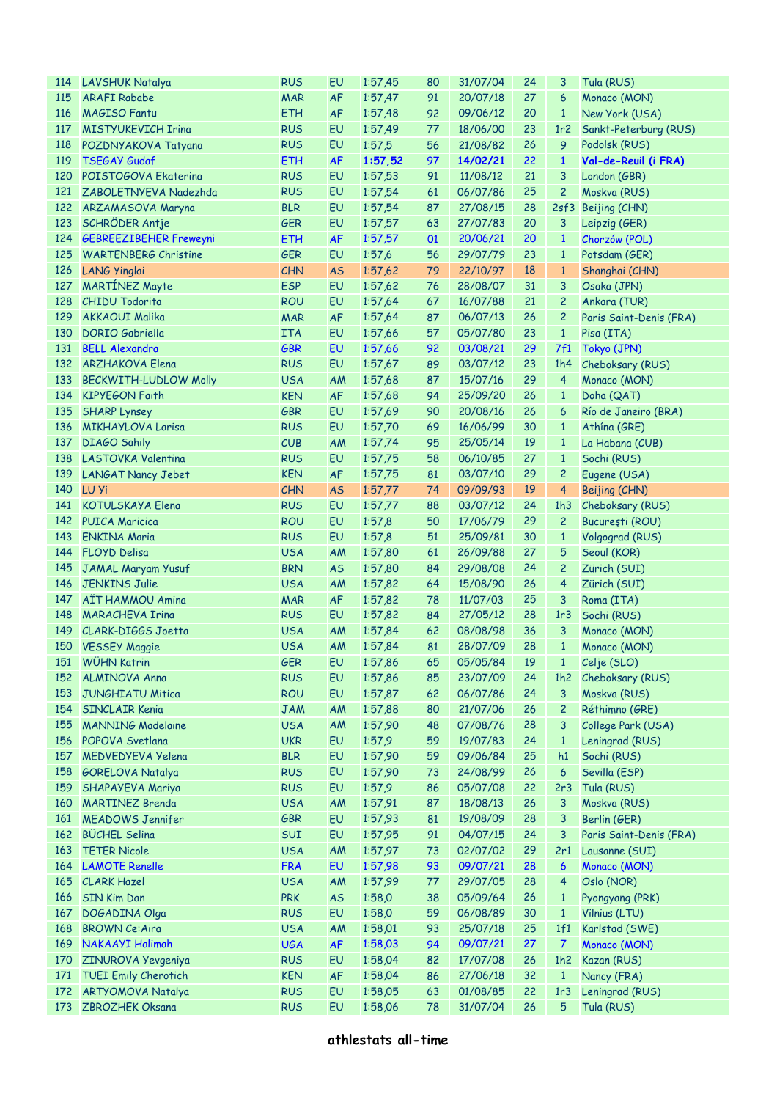| 114        | LAVSHUK Natalya               | <b>RUS</b> | EU        | 1:57,45    | 80 | 31/07/04    | 24 | 3               | Tula (RUS)              |
|------------|-------------------------------|------------|-----------|------------|----|-------------|----|-----------------|-------------------------|
| 115        | <b>ARAFI Rababe</b>           | <b>MAR</b> | <b>AF</b> | 1:57,47    | 91 | 20/07/18    | 27 | 6               | Monaco (MON)            |
| 116        | <b>MAGISO Fantu</b>           | <b>ETH</b> | <b>AF</b> | 1:57,48    | 92 | 09/06/12    | 20 | $\mathbf{1}$    | New York (USA)          |
| <b>117</b> | <b>MISTYUKEVICH Irina</b>     | <b>RUS</b> | EU        | 1:57,49    | 77 | 18/06/00    | 23 | 1r <sub>2</sub> | Sankt-Peterburg (RUS)   |
| <b>118</b> | POZDNYAKOVA Tatyana           | <b>RUS</b> | EU        | 1:57,5     | 56 | 21/08/82    | 26 | 9               | Podolsk (RUS)           |
| 119        | <b>TSEGAY Gudaf</b>           | <b>ETH</b> | <b>AF</b> | 1:57,52    | 97 | 14/02/21    | 22 | $\mathbf{1}$    | Val-de-Reuil (i FRA)    |
|            | 120 POISTOGOVA Ekaterina      | <b>RUS</b> | EU        | 1:57,53    | 91 | 11/08/12    | 21 | 3               | London (GBR)            |
| <u>121</u> | ZABOLETNYEVA Nadezhda         | <b>RUS</b> | EU        | 1:57,54    | 61 | 06/07/86    | 25 | 2               | Moskva (RUS)            |
|            | 122 ARZAMASOVA Maryna         | <b>BLR</b> | EU        | 1:57,54    | 87 | 27/08/15    | 28 | 2sf3            | Beijing (CHN)           |
| 123        | SCHRÖDER Antje                | GER        | EU        | 1:57,57    | 63 | 27/07/83    | 20 | 3               | Leipzig (GER)           |
| 124        | <b>GEBREEZIBEHER Freweyni</b> | <b>ETH</b> | <b>AF</b> | 1:57,57    | 01 | 20/06/21    | 20 | $\mathbf{1}$    | Chorzów (POL)           |
| 125        | <b>WARTENBERG Christine</b>   | <b>GER</b> | EU        | 1:57,6     | 56 | 29/07/79    | 23 | $\mathbf{1}$    | Potsdam (GER)           |
| 126        | <b>LANG Yinglai</b>           | <b>CHN</b> | <b>AS</b> | 1:57,62    | 79 | 22/10/97    | 18 | $\mathbf{1}$    | Shanghai (CHN)          |
| 127        | <b>MARTÍNEZ Mayte</b>         | <b>ESP</b> | EU        | 1:57,62    | 76 | 28/08/07    | 31 | 3               | Osaka (JPN)             |
| 128        | <b>CHIDU Todorita</b>         | <b>ROU</b> | EU        | 1:57,64    | 67 | 16/07/88    | 21 | $\overline{c}$  | Ankara (TUR)            |
| 129        | <b>AKKAOUI Malika</b>         |            | AF        |            | 87 | 06/07/13    | 26 |                 |                         |
|            |                               | <b>MAR</b> |           | 1:57,64    |    |             |    | 2               | Paris Saint-Denis (FRA) |
| 130        | <b>DORIO</b> Gabriella        | <b>ITA</b> | EU        | 1:57,66    | 57 | 05/07/80    | 23 | $\mathbf{1}$    | Pisa (ITA)              |
| 131        | <b>BELL Alexandra</b>         | GBR        | EU        | 1:57,66    | 92 | 03/08/21    | 29 | 7f1             | Tokyo (JPN)             |
|            | 132 ARZHAKOVA Elena           | <b>RUS</b> | EU        | 1:57,67    | 89 | 03/07/12    | 23 | 1h4             | Cheboksary (RUS)        |
| 133        | <b>BECKWITH-LUDLOW Molly</b>  | <b>USA</b> | AM        | 1:57,68    | 87 | 15/07/16    | 29 | $\overline{4}$  | Monaco (MON)            |
|            | 134 KIPYEGON Faith            | <b>KEN</b> | <b>AF</b> | 1:57,68    | 94 | 25/09/20    | 26 | $\mathbf{1}$    | Doha (QAT)              |
| 135        | <b>SHARP Lynsey</b>           | GBR        | EU        | 1:57,69    | 90 | 20/08/16    | 26 | 6               | Río de Janeiro (BRA)    |
| 136        | <b>MIKHAYLOVA Larisa</b>      | <b>RUS</b> | EU        | 1:57,70    | 69 | 16/06/99    | 30 | $\mathbf{1}$    | Athina (GRE)            |
| 137        | <b>DIAGO Sahily</b>           | CUB        | AM        | 1:57,74    | 95 | 25/05/14    | 19 | $\mathbf{1}$    | La Habana (CUB)         |
| 138        | LASTOVKA Valentina            | <b>RUS</b> | EU        | 1:57,75    | 58 | 06/10/85    | 27 | $\mathbf{1}$    | Sochi (RUS)             |
| 139        | LANGAT Nancy Jebet            | <b>KEN</b> | <b>AF</b> | 1:57,75    | 81 | 03/07/10    | 29 | $\mathbf{2}$    | Eugene (USA)            |
|            | 140 LU Yi                     | <b>CHN</b> | <b>AS</b> | 1:57,77    | 74 | 09/09/93    | 19 | 4               | Beijing (CHN)           |
| 141        | <b>KOTULSKAYA Elena</b>       | <b>RUS</b> | EU        | 1:57,77    | 88 | 03/07/12    | 24 | 1h3             | Cheboksary (RUS)        |
|            | 142 PUICA Maricica            | <b>ROU</b> | EU        | 1:57,8     | 50 | 17/06/79    | 29 | $\overline{c}$  | București (ROU)         |
| 143        | <b>ENKINA Maria</b>           | <b>RUS</b> | EU        | 1:57,8     | 51 | 25/09/81    | 30 | $\mathbf{1}$    | Volgograd (RUS)         |
|            | 144 FLOYD Delisa              | <b>USA</b> | AM        | 1:57,80    | 61 | 26/09/88    | 27 | 5               | Seoul (KOR)             |
| 145        | JAMAL Maryam Yusuf            | <b>BRN</b> | <b>AS</b> | 1:57,80    | 84 | 29/08/08    | 24 | 2               | Zürich (SUI)            |
| 146        | <b>JENKINS Julie</b>          | <b>USA</b> | AM        | 1:57,82    | 64 | 15/08/90    | 26 | 4               | Zürich (SUI)            |
| 147        | <b>AÏT HAMMOU Amina</b>       | <b>MAR</b> | <b>AF</b> | 1:57,82    | 78 | 11/07/03    | 25 | 3               | Roma (ITA)              |
| 148        | <b>MARACHEVA Irina</b>        | <b>RUS</b> | EU        | 1:57,82    | 84 | 27/05/12    | 28 | 1 <sub>r3</sub> | Sochi (RUS)             |
|            | 149 CLARK-DIGGS Joetta        | <b>USA</b> | AM        | 1:57,84    | 62 | 08/08/98    | 36 | 3               | Monaco (MON)            |
|            | 150 VESSEY Maggie             | <b>USA</b> | AM        | 1:57,84    | 81 | 28/07/09    | 28 | $\mathbf{1}$    | Monaco (MON)            |
|            | 151 WÜHN Katrin               | GER        |           | EU 1:57,86 |    | 65 05/05/84 | 19 |                 | 1 Celje (SLO)           |
| <b>152</b> | ALMINOVA Anna                 | <b>RUS</b> | EU        | 1:57,86    | 85 | 23/07/09    | 24 | 1h2             | Cheboksary (RUS)        |
| 153        | <b>JUNGHIATU Mitica</b>       | <b>ROU</b> | EU        | 1:57,87    | 62 | 06/07/86    | 24 | 3               | Moskva (RUS)            |
| 154        | <b>SINCLAIR Kenia</b>         | <b>JAM</b> | AM        | 1:57,88    | 80 | 21/07/06    | 26 | 2               | Réthimno (GRE)          |
| 155        | <b>MANNING Madelaine</b>      | <b>USA</b> | AM        | 1:57,90    | 48 | 07/08/76    | 28 | 3               | College Park (USA)      |
| 156        | <b>POPOVA Svetlana</b>        | <b>UKR</b> | EU        | 1:57,9     | 59 | 19/07/83    | 24 | $\mathbf{1}$    | Leningrad (RUS)         |
| 157        | <b>MEDVEDYEVA Yelena</b>      | <b>BLR</b> | EU        | 1:57,90    | 59 | 09/06/84    | 25 | h1              | Sochi (RUS)             |
| 158        | <b>GORELOVA Natalya</b>       | <b>RUS</b> | EU        | 1:57,90    | 73 | 24/08/99    | 26 | 6               | Sevilla (ESP)           |
| 159        | SHAPAYEVA Mariya              | <b>RUS</b> | EU        | 1:57,9     | 86 | 05/07/08    | 22 | 2r3             | Tula (RUS)              |
| 160        | <b>MARTINEZ Brenda</b>        | <b>USA</b> | AM        | 1:57,91    | 87 | 18/08/13    | 26 | 3               | Moskva (RUS)            |
| 161        | <b>MEADOWS Jennifer</b>       | GBR        | EU        | 1:57,93    | 81 | 19/08/09    | 28 | 3               | Berlin (GER)            |
| 162        | <b>BÜCHEL Selina</b>          | SUI        | EU        | 1:57,95    | 91 | 04/07/15    | 24 | 3               | Paris Saint-Denis (FRA) |
| 163        | <b>TETER Nicole</b>           | <b>USA</b> | AM        | 1:57,97    |    | 02/07/02    | 29 | 2r1             |                         |
| 164        |                               |            |           |            | 73 |             | 28 | 6               | Lausanne (SUI)          |
|            | <b>LAMOTE Renelle</b>         | <b>FRA</b> | EU        | 1:57,98    | 93 | 09/07/21    |    |                 | Monaco (MON)            |
| 165        | <b>CLARK Hazel</b>            | <b>USA</b> | AM        | 1:57,99    | 77 | 29/07/05    | 28 | 4               | Oslo (NOR)              |
| 166        | <b>SIN Kim Dan</b>            | <b>PRK</b> | <b>AS</b> | 1:58,0     | 38 | 05/09/64    | 26 | $\mathbf{1}$    | Pyongyang (PRK)         |
| 167        | DOGADINA Olga                 | <b>RUS</b> | EU        | 1:58,0     | 59 | 06/08/89    | 30 | $\mathbf{1}$    | Vilnius (LTU)           |
| 168        | <b>BROWN Ce:Aira</b>          | <b>USA</b> | AM        | 1:58,01    | 93 | 25/07/18    | 25 | 1f1             | Karlstad (SWE)          |
| 169        | NAKAAYI Halimah               | <b>UGA</b> | <b>AF</b> | 1:58,03    | 94 | 09/07/21    | 27 | $\overline{7}$  | Monaco (MON)            |
| 170        | <b>ZINUROVA Yevgeniya</b>     | <b>RUS</b> | EU        | 1:58,04    | 82 | 17/07/08    | 26 | 1h2             | Kazan (RUS)             |
| 171        | <b>TUEI Emily Cherotich</b>   | <b>KEN</b> | <b>AF</b> | 1:58,04    | 86 | 27/06/18    | 32 | $\mathbf{1}$    | Nancy (FRA)             |
| 172        | <b>ARTYOMOVA Natalya</b>      | <b>RUS</b> | EU        | 1:58,05    | 63 | 01/08/85    | 22 | 1r3             | Leningrad (RUS)         |
| 173        | <b>ZBROZHEK Oksana</b>        | <b>RUS</b> | EU        | 1:58,06    | 78 | 31/07/04    | 26 | 5               | Tula (RUS)              |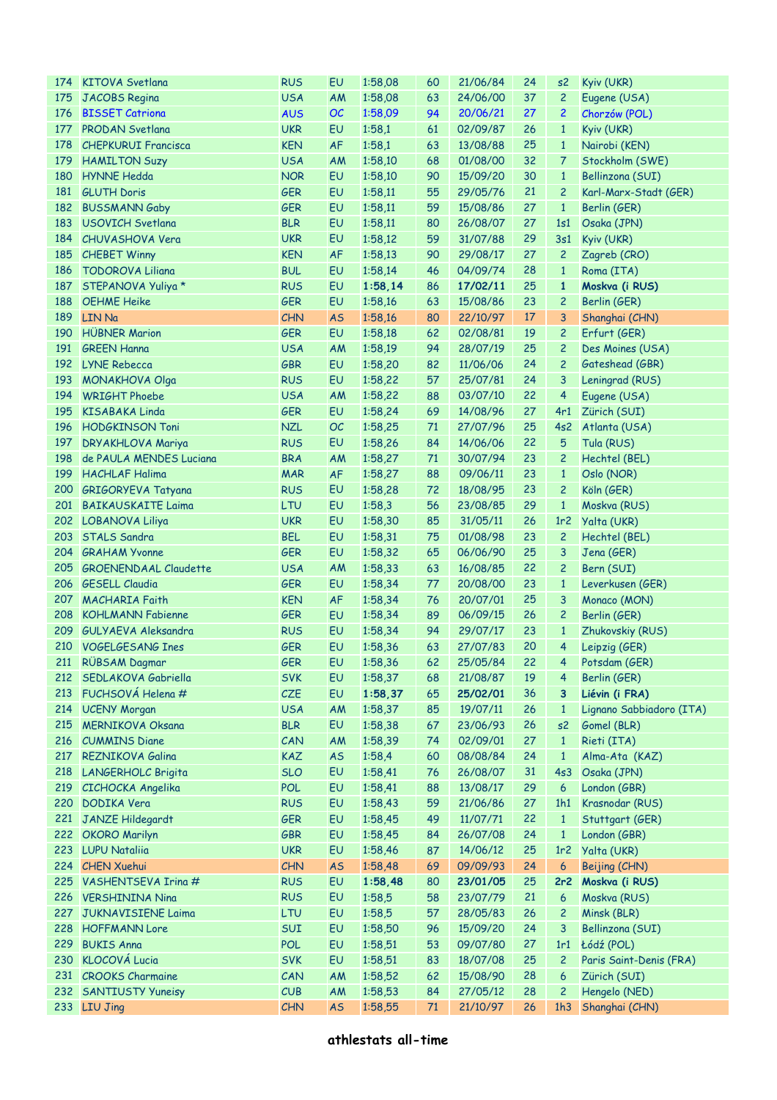| 174 | <b>KITOVA Svetlana</b>       | <b>RUS</b> | EU        | 1:58,08 | 60 | 21/06/84 | 24 | s2              | Kyiv (UKR)               |
|-----|------------------------------|------------|-----------|---------|----|----------|----|-----------------|--------------------------|
| 175 | JACOBS Regina                | <b>USA</b> | AM        | 1:58,08 | 63 | 24/06/00 | 37 | $\overline{c}$  | Eugene (USA)             |
| 176 | <b>BISSET Catriona</b>       | <b>AUS</b> | <b>OC</b> | 1:58,09 | 94 | 20/06/21 | 27 | 2               | Chorzów (POL)            |
| 177 | <b>PRODAN Svetlana</b>       | <b>UKR</b> | EU        | 1:58,1  | 61 | 02/09/87 | 26 | $\mathbf{1}$    | Kyiv (UKR)               |
| 178 | <b>CHEPKURUI Francisca</b>   | <b>KEN</b> | <b>AF</b> | 1:58,1  | 63 | 13/08/88 | 25 | $\mathbf{1}$    | Nairobi (KEN)            |
| 179 | <b>HAMILTON Suzy</b>         | <b>USA</b> | AM        | 1:58,10 | 68 | 01/08/00 | 32 | 7               | Stockholm (SWE)          |
| 180 | <b>HYNNE</b> Hedda           | <b>NOR</b> | EU        | 1:58,10 | 90 | 15/09/20 | 30 | $\mathbf{1}$    | Bellinzona (SUI)         |
| 181 | <b>GLUTH Doris</b>           | <b>GER</b> | EU        | 1:58,11 | 55 | 29/05/76 | 21 | 2               | Karl-Marx-Stadt (GER)    |
| 182 | <b>BUSSMANN Gaby</b>         | <b>GER</b> | EU        | 1:58,11 | 59 | 15/08/86 | 27 | $\mathbf{1}$    | Berlin (GER)             |
| 183 | USOVICH Svetlana             | <b>BLR</b> | EU        | 1:58,11 | 80 | 26/08/07 | 27 | 1s1             |                          |
|     |                              |            |           |         |    |          |    |                 | Osaka (JPN)              |
|     | 184 CHUVASHOVA Vera          | <b>UKR</b> | EU        | 1:58,12 | 59 | 31/07/88 | 29 | 3s1             | Kyiv (UKR)               |
|     | 185 CHEBET Winny             | <b>KEN</b> | <b>AF</b> | 1:58,13 | 90 | 29/08/17 | 27 | $\overline{c}$  | Zagreb (CRO)             |
| 186 | <b>TODOROVA Liliana</b>      | <b>BUL</b> | EU        | 1:58,14 | 46 | 04/09/74 | 28 | $\mathbf{1}$    | Roma (ITA)               |
| 187 | STEPANOVA Yuliya *           | <b>RUS</b> | EU        | 1:58,14 | 86 | 17/02/11 | 25 | $\mathbf{1}$    | Moskva (i RUS)           |
| 188 | <b>OEHME Heike</b>           | <b>GER</b> | EU        | 1:58,16 | 63 | 15/08/86 | 23 | 2               | Berlin (GER)             |
| 189 | LIN Na                       | <b>CHN</b> | <b>AS</b> | 1:58,16 | 80 | 22/10/97 | 17 | 3               | Shanghai (CHN)           |
| 190 | <b>HÜBNER Marion</b>         | <b>GER</b> | EU        | 1:58,18 | 62 | 02/08/81 | 19 | 2               | Erfurt (GER)             |
| 191 | <b>GREEN Hanna</b>           | <b>USA</b> | AM        | 1:58,19 | 94 | 28/07/19 | 25 | 2               | Des Moines (USA)         |
|     | 192 LYNE Rebecca             | <b>GBR</b> | EU        | 1:58,20 | 82 | 11/06/06 | 24 | 2               | Gateshead (GBR)          |
| 193 | <b>MONAKHOVA Olga</b>        | <b>RUS</b> | EU        | 1:58,22 | 57 | 25/07/81 | 24 | 3               | Leningrad (RUS)          |
| 194 | <b>WRIGHT Phoebe</b>         | <b>USA</b> | AM        | 1:58,22 | 88 | 03/07/10 | 22 | 4               | Eugene (USA)             |
| 195 | <b>KISABAKA Linda</b>        | <b>GER</b> | EU        | 1:58,24 | 69 | 14/08/96 | 27 | 4r1             | Zürich (SUI)             |
|     | 196 HODGKINSON Toni          | <b>NZL</b> | OC        | 1:58,25 | 71 | 27/07/96 | 25 | 4s2             | Atlanta (USA)            |
| 197 | <b>DRYAKHLOVA Mariya</b>     | <b>RUS</b> | EU        | 1:58,26 | 84 | 14/06/06 | 22 | 5               | Tula (RUS)               |
| 198 | de PAULA MENDES Luciana      | <b>BRA</b> | AM        | 1:58,27 | 71 | 30/07/94 | 23 | 2               | Hechtel (BEL)            |
| 199 | <b>HACHLAF Halima</b>        | <b>MAR</b> | <b>AF</b> | 1:58,27 | 88 | 09/06/11 | 23 | $\mathbf{1}$    | Oslo (NOR)               |
| 200 | <b>GRIGORYEVA Tatyana</b>    | <b>RUS</b> | EU        | 1:58,28 | 72 | 18/08/95 | 23 | 2               | Köln (GER)               |
| 201 | <b>BAIKAUSKAITE Laima</b>    | LTU        | EU        | 1:58,3  | 56 | 23/08/85 | 29 | $\mathbf{1}$    | Moskva (RUS)             |
|     |                              | <b>UKR</b> | EU        |         | 85 | 31/05/11 | 26 | 1r <sub>2</sub> |                          |
|     | 202 LOBANOVA Liliya          |            |           | 1:58,30 |    |          |    |                 | Yalta (UKR)              |
| 203 | <b>STALS Sandra</b>          | <b>BEL</b> | EU        | 1:58,31 | 75 | 01/08/98 | 23 | 2               | Hechtel (BEL)            |
|     | 204 GRAHAM Yvonne            | <b>GER</b> | EU        | 1:58,32 | 65 | 06/06/90 | 25 | 3               | Jena (GER)               |
| 205 | <b>GROENENDAAL Claudette</b> | <b>USA</b> | AM        | 1:58,33 | 63 | 16/08/85 | 22 | 2               | Bern (SUI)               |
| 206 | <b>GESELL Claudia</b>        | <b>GER</b> | EU        | 1:58,34 | 77 | 20/08/00 | 23 | $\mathbf{1}$    | Leverkusen (GER)         |
|     | 207 MACHARIA Faith           | <b>KEN</b> | <b>AF</b> | 1:58,34 | 76 | 20/07/01 | 25 | 3               | Monaco (MON)             |
| 208 | <b>KOHLMANN Fabienne</b>     | <b>GER</b> | EU        | 1:58,34 | 89 | 06/09/15 | 26 | 2               | Berlin (GER)             |
| 209 | GULYAEVA Aleksandra          | <b>RUS</b> | EU        | 1:58,34 | 94 | 29/07/17 | 23 | $\mathbf{1}$    | Zhukovskiy (RUS)         |
|     | 210 VOGELGESANG Ines         | <b>GER</b> | EU        | 1:58,36 | 63 | 27/07/83 | 20 | 4               | Leipzig (GER)            |
|     | 211 RÜBSAM Dagmar            | <b>GER</b> | EU        | 1:58,36 | 62 | 25/05/84 | 22 |                 | 4 Potsdam (GER)          |
|     | 212 SEDLAKOVA Gabriella      | <b>SVK</b> | EU        | 1:58,37 | 68 | 21/08/87 | 19 | $\overline{4}$  | Berlin (GER)             |
| 213 | FUCHSOVÁ Helena #            | <b>CZE</b> | EU        | 1:58,37 | 65 | 25/02/01 | 36 | 3               | Liévin (i FRA)           |
|     | 214 UCENY Morgan             | <b>USA</b> | AM        | 1:58,37 | 85 | 19/07/11 | 26 | $\mathbf{1}$    | Lignano Sabbiadoro (ITA) |
| 215 | <b>MERNIKOVA Oksana</b>      | <b>BLR</b> | EU        | 1:58,38 | 67 | 23/06/93 | 26 | s2              | Gomel (BLR)              |
|     | 216 CUMMINS Diane            | CAN        | AM        | 1:58,39 | 74 | 02/09/01 | 27 | $\mathbf{1}$    | Rieti (ITA)              |
| 217 | <b>REZNIKOVA Galina</b>      | <b>KAZ</b> | <b>AS</b> | 1:58,4  | 60 | 08/08/84 | 24 | $\mathbf{1}$    | Alma-Ata (KAZ)           |
| 218 | <b>LANGERHOLC Brigita</b>    | <b>SLO</b> | EU        | 1:58,41 | 76 | 26/08/07 | 31 | 4s3             | Osaka (JPN)              |
| 219 | CICHOCKA Angelika            | <b>POL</b> | EU        | 1:58,41 | 88 | 13/08/17 | 29 | 6               | London (GBR)             |
| 220 | DODIKA Vera                  | <b>RUS</b> | EU        | 1:58,43 | 59 | 21/06/86 | 27 | 1h1             | Krasnodar (RUS)          |
| 221 | JANZE Hildegardt             | <b>GER</b> | EU        | 1:58,45 | 49 | 11/07/71 | 22 | $\mathbf{1}$    | Stuttgart (GER)          |
|     | 222 OKORO Marilyn            | <b>GBR</b> | EU        | 1:58,45 | 84 | 26/07/08 | 24 | $\mathbf{1}$    | London (GBR)             |
|     |                              |            | EU        |         |    |          |    |                 |                          |
|     | 223 LUPU Natalija            | <b>UKR</b> |           | 1:58,46 | 87 | 14/06/12 | 25 | 1r <sub>2</sub> | Yalta (UKR)              |
|     | 224 CHEN Xuehui              | CHN        | <b>AS</b> | 1:58,48 | 69 | 09/09/93 | 24 | 6               | Beijing (CHN)            |
| 225 | VASHENTSEVA Irina #          | <b>RUS</b> | EU        | 1:58,48 | 80 | 23/01/05 | 25 | 2r <sub>2</sub> | Moskva (i RUS)           |
| 226 | <b>VERSHININA Nina</b>       | <b>RUS</b> | EU        | 1:58,5  | 58 | 23/07/79 | 21 | 6               | Moskva (RUS)             |
| 227 | <b>JUKNAVISIENE Laima</b>    | LTU        | EU        | 1:58,5  | 57 | 28/05/83 | 26 | 2               | Minsk (BLR)              |
| 228 | <b>HOFFMANN Lore</b>         | SUI        | EU        | 1:58,50 | 96 | 15/09/20 | 24 | 3               | Bellinzona (SUI)         |
| 229 | <b>BUKIS Anna</b>            | <b>POL</b> | EU        | 1:58,51 | 53 | 09/07/80 | 27 | 1r1             | Łódź (POL)               |
| 230 | <b>KLOCOVÁ Lucia</b>         | <b>SVK</b> | EU        | 1:58,51 | 83 | 18/07/08 | 25 | 2               | Paris Saint-Denis (FRA)  |
|     | 231 CROOKS Charmaine         | CAN        | AM        | 1:58,52 | 62 | 15/08/90 | 28 | 6               | Zürich (SUI)             |
|     | 232 SANTIUSTY Yuneisy        | CUB        | AM        | 1:58,53 | 84 | 27/05/12 | 28 | 2               | Hengelo (NED)            |
|     | 233 LIU Jing                 | <b>CHN</b> | <b>AS</b> | 1:58,55 | 71 | 21/10/97 | 26 | 1h3             | Shanghai (CHN)           |
|     |                              |            |           |         |    |          |    |                 |                          |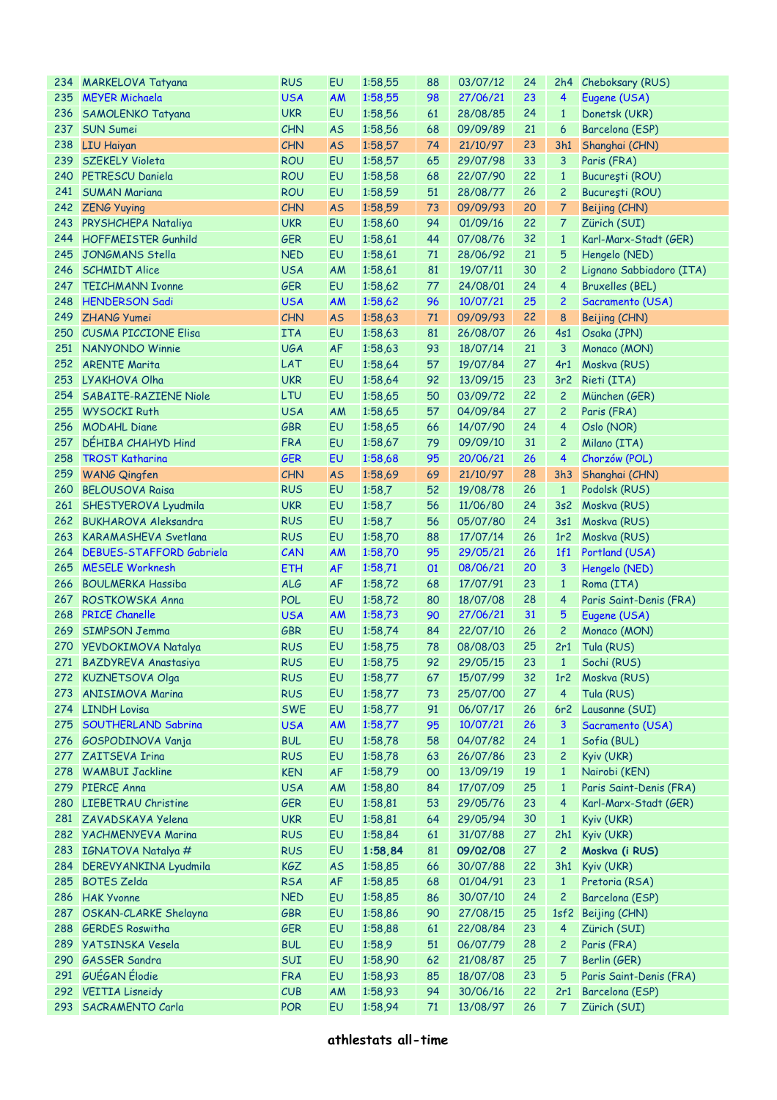|     | 234 MARKELOVA Tatyana        | <b>RUS</b> | EU        | 1:58,55 | 88 | 03/07/12 | 24 |                 | 2h4 Cheboksary (RUS)     |
|-----|------------------------------|------------|-----------|---------|----|----------|----|-----------------|--------------------------|
|     | 235 MEYER Michaela           | <b>USA</b> | <b>AM</b> | 1:58,55 | 98 | 27/06/21 | 23 | 4               | Eugene (USA)             |
| 236 | SAMOLENKO Tatyana            | <b>UKR</b> | EU        | 1:58,56 | 61 | 28/08/85 | 24 | $\mathbf{1}$    | Donetsk (UKR)            |
| 237 | <b>SUN Sumei</b>             | CHN        | <b>AS</b> | 1:58,56 | 68 | 09/09/89 | 21 | 6               | Barcelona (ESP)          |
|     | 238 LIU Haiyan               | CHN        | <b>AS</b> | 1:58,57 | 74 | 21/10/97 | 23 | 3h1             | Shanghai (CHN)           |
| 239 | SZEKELY Violeta              | <b>ROU</b> | <b>EU</b> | 1:58,57 | 65 | 29/07/98 | 33 | 3               | Paris (FRA)              |
|     | 240 PETRESCU Daniela         | <b>ROU</b> | EU        | 1:58,58 | 68 | 22/07/90 | 22 | $\mathbf{1}$    | București (ROU)          |
| 241 | <b>SUMAN Mariana</b>         | <b>ROU</b> | <b>EU</b> | 1:58,59 | 51 | 28/08/77 | 26 | $\overline{c}$  | București (ROU)          |
|     | 242 ZENG Yuying              | <b>CHN</b> | <b>AS</b> | 1:58,59 | 73 | 09/09/93 | 20 | 7               | Beijing (CHN)            |
|     | 243 PRYSHCHEPA Nataliya      | <b>UKR</b> | EU        | 1:58,60 | 94 | 01/09/16 | 22 | 7               | Zürich (SUI)             |
|     | 244 HOFFMEISTER Gunhild      | <b>GER</b> | EU        | 1:58,61 | 44 | 07/08/76 | 32 | $\mathbf{1}$    | Karl-Marx-Stadt (GER)    |
| 245 | JONGMANS Stella              | <b>NED</b> | EU        | 1:58,61 | 71 | 28/06/92 | 21 | 5               | Hengelo (NED)            |
|     | 246 SCHMIDT Alice            | <b>USA</b> | AM        | 1:58,61 | 81 | 19/07/11 | 30 | $\overline{c}$  | Lignano Sabbiadoro (ITA) |
|     | 247 TEICHMANN Ivonne         | <b>GER</b> | EU        | 1:58,62 | 77 | 24/08/01 | 24 | 4               | <b>Bruxelles (BEL)</b>   |
| 248 | <b>HENDERSON Sadi</b>        | <b>USA</b> | <b>AM</b> | 1:58,62 | 96 | 10/07/21 | 25 | $\overline{c}$  | Sacramento (USA)         |
| 249 | <b>ZHANG Yumei</b>           | <b>CHN</b> | <b>AS</b> | 1:58,63 | 71 | 09/09/93 | 22 | 8               | Beijing (CHN)            |
|     | 250 CUSMA PICCIONE Elisa     | <b>ITA</b> | EU        | 1:58,63 | 81 | 26/08/07 | 26 | 4s1             | Osaka (JPN)              |
|     | 251 NANYONDO Winnie          | <b>UGA</b> | <b>AF</b> | 1:58,63 | 93 | 18/07/14 | 21 | 3               | Monaco (MON)             |
|     | 252 ARENTE Marita            | LAT        | EU        | 1:58,64 | 57 | 19/07/84 | 27 | 4r1             | Moskva (RUS)             |
|     | 253 LYAKHOVA Olha            | <b>UKR</b> | EU        | 1:58,64 | 92 | 13/09/15 | 23 | 3r <sub>2</sub> | Rieti (ITA)              |
|     | 254 SABAITE-RAZIENE Niole    | LTU        | EU        | 1:58,65 | 50 | 03/09/72 | 22 | $\overline{c}$  | München (GER)            |
| 255 | <b>WYSOCKI Ruth</b>          | <b>USA</b> | <b>AM</b> | 1:58,65 | 57 | 04/09/84 | 27 | $\overline{c}$  | Paris (FRA)              |
| 256 | <b>MODAHL Diane</b>          | <b>GBR</b> | EU        | 1:58,65 | 66 | 14/07/90 | 24 | 4               | Oslo (NOR)               |
| 257 | DÉHIBA CHAHYD Hind           | <b>FRA</b> | EU        | 1:58,67 | 79 | 09/09/10 | 31 | $\overline{c}$  | Milano (ITA)             |
| 258 | <b>TROST Katharina</b>       | <b>GER</b> | EU        | 1:58,68 | 95 | 20/06/21 | 26 | 4               | Chorzów (POL)            |
| 259 | <b>WANG Qingfen</b>          | <b>CHN</b> | <b>AS</b> | 1:58,69 | 69 | 21/10/97 | 28 | 3h3             | Shanghai (CHN)           |
| 260 | <b>BELOUSOVA Raisa</b>       | <b>RUS</b> | EU        | 1:58,7  | 52 | 19/08/78 | 26 | $\mathbf{1}$    | Podolsk (RUS)            |
|     | 261 SHESTYEROVA Lyudmila     | <b>UKR</b> | EU        | 1:58,7  | 56 | 11/06/80 | 24 | 3s2             | Moskva (RUS)             |
|     | 262 BUKHAROVA Aleksandra     | <b>RUS</b> | EU        | 1:58,7  | 56 | 05/07/80 | 24 | 3s1             | Moskva (RUS)             |
|     | 263 KARAMASHEVA Svetlana     | <b>RUS</b> | EU        | 1:58,70 | 88 | 17/07/14 | 26 | 1r <sub>2</sub> | Moskva (RUS)             |
|     | 264 DEBUES-STAFFORD Gabriela | CAN        | <b>AM</b> | 1:58,70 | 95 | 29/05/21 | 26 | 1f1             | Portland (USA)           |
|     | 265 MESELE Worknesh          | <b>ETH</b> | <b>AF</b> | 1:58,71 | 01 | 08/06/21 | 20 | 3               | Hengelo (NED)            |
| 266 | <b>BOULMERKA Hassiba</b>     | ALG        | <b>AF</b> | 1:58,72 | 68 | 17/07/91 | 23 | $\mathbf{1}$    | Roma (ITA)               |
|     | 267 ROSTKOWSKA Anna          | <b>POL</b> | EU        | 1:58,72 | 80 | 18/07/08 | 28 | 4               | Paris Saint-Denis (FRA)  |
|     | 268 PRICE Chanelle           | <b>USA</b> | <b>AM</b> | 1:58,73 | 90 | 27/06/21 | 31 | 5               | Eugene (USA)             |
| 269 | <b>SIMPSON Jemma</b>         | GBR        | EU        | 1:58,74 | 84 | 22/07/10 | 26 | $\overline{c}$  | Monaco (MON)             |
|     | 270 YEVDOKIMOVA Natalya      | <b>RUS</b> | EU        | 1:58,75 | 78 | 08/08/03 | 25 |                 | 2r1 Tula (RUS)           |
|     | 271 BAZDYREVA Anastasiya     | <b>RUS</b> | EU        | 1:58,75 | 92 | 29/05/15 | 23 |                 | 1 Sochi (RUS)            |
|     | 272 KUZNETSOVA Olga          | <b>RUS</b> | EU        | 1:58,77 | 67 | 15/07/99 | 32 | 1r <sub>2</sub> | Moskva (RUS)             |
| 273 | <b>ANISIMOVA Marina</b>      | <b>RUS</b> | EU        | 1:58,77 | 73 | 25/07/00 | 27 | 4               | Tula (RUS)               |
|     | 274 LINDH Lovisa             | <b>SWE</b> | EU        | 1:58,77 | 91 | 06/07/17 | 26 | 6r <sub>2</sub> | Lausanne (SUI)           |
| 275 | <b>SOUTHERLAND Sabrina</b>   | <b>USA</b> | <b>AM</b> | 1:58,77 | 95 | 10/07/21 | 26 | 3               | Sacramento (USA)         |
| 276 | GOSPODINOVA Vanja            | <b>BUL</b> | EU        | 1:58,78 | 58 | 04/07/82 | 24 | $\mathbf{1}$    | Sofia (BUL)              |
| 277 | ZAITSEVA Irina               | <b>RUS</b> | EU        | 1:58,78 | 63 | 26/07/86 | 23 | $\overline{c}$  | Kyiv (UKR)               |
| 278 | <b>WAMBUI Jackline</b>       | <b>KEN</b> | AF        | 1:58,79 | 00 | 13/09/19 | 19 | $\mathbf{1}$    | Nairobi (KEN)            |
| 279 | <b>PIERCE Anna</b>           | <b>USA</b> | AM        | 1:58,80 | 84 | 17/07/09 | 25 | $\mathbf{1}$    | Paris Saint-Denis (FRA)  |
| 280 | LIEBETRAU Christine          | <b>GER</b> | EU        | 1:58,81 | 53 | 29/05/76 | 23 | 4               | Karl-Marx-Stadt (GER)    |
|     | 281 ZAVADSKAYA Yelena        | <b>UKR</b> | EU        | 1:58,81 | 64 | 29/05/94 | 30 | $\mathbf{1}$    | Kyiv (UKR)               |
|     | 282 YACHMENYEVA Marina       | <b>RUS</b> | EU        | 1:58,84 | 61 | 31/07/88 | 27 | 2h1             | Kyiv (UKR)               |
| 283 | IGNATOVA Natalya #           | <b>RUS</b> | EU        | 1:58,84 | 81 | 09/02/08 | 27 | $\overline{c}$  | Moskva (i RUS)           |
|     | 284 DEREVYANKINA Lyudmila    | KGZ        | <b>AS</b> | 1:58,85 | 66 | 30/07/88 | 22 | 3h1             | Kyiv (UKR)               |
| 285 | <b>BOTES Zelda</b>           | <b>RSA</b> | AF        | 1:58,85 | 68 | 01/04/91 | 23 | $\mathbf{1}$    | Pretoria (RSA)           |
| 286 | <b>HAK Yvonne</b>            | <b>NED</b> | EU        | 1:58,85 | 86 | 30/07/10 | 24 | $\overline{c}$  | Barcelona (ESP)          |
| 287 | OSKAN-CLARKE Shelayna        | GBR        | EU        | 1:58,86 | 90 | 27/08/15 | 25 | 1sf2            | Beijing (CHN)            |
| 288 | <b>GERDES Roswitha</b>       | <b>GER</b> | EU        | 1:58,88 | 61 | 22/08/84 | 23 | 4               | Zürich (SUI)             |
|     | 289 YATSINSKA Vesela         | <b>BUL</b> | EU        | 1:58,9  | 51 | 06/07/79 | 28 | $\overline{c}$  | Paris (FRA)              |
| 290 | <b>GASSER Sandra</b>         | SUI        | EU        | 1:58,90 | 62 | 21/08/87 | 25 | 7               | Berlin (GER)             |
| 291 | <b>GUÉGAN</b> Élodie         | <b>FRA</b> | EU        | 1:58,93 | 85 | 18/07/08 | 23 | 5               | Paris Saint-Denis (FRA)  |
| 292 | <b>VEITIA</b> Lisneidy       | CUB        | AM        | 1:58,93 | 94 | 30/06/16 | 22 | 2r1             | Barcelona (ESP)          |
| 293 | SACRAMENTO Carla             | <b>POR</b> | EU        | 1:58,94 | 71 | 13/08/97 | 26 | 7               | Zürich (SUI)             |
|     |                              |            |           |         |    |          |    |                 |                          |